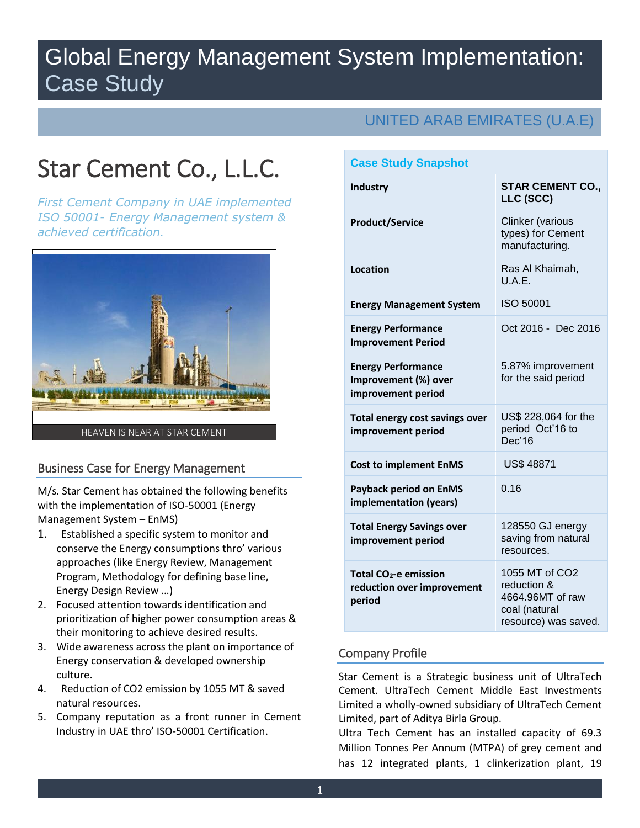## Global Energy Management System Implementation: Case Study

# Star Cement Co., L.L.C.

*First Cement Company in UAE implemented ISO 50001- Energy Management system & achieved certification.*



## Business Case for Energy Management

M/s. Star Cement has obtained the following benefits with the implementation of ISO-50001 (Energy Management System – EnMS)

- 1. Established a specific system to monitor and conserve the Energy consumptions thro' various approaches (like Energy Review, Management Program, Methodology for defining base line, Energy Design Review …)
- 2. Focused attention towards identification and prioritization of higher power consumption areas & their monitoring to achieve desired results.
- 3. Wide awareness across the plant on importance of Energy conservation & developed ownership culture.
- 4. Reduction of CO2 emission by 1055 MT & saved natural resources.
- 5. Company reputation as a front runner in Cement Industry in UAE thro' ISO-50001 Certification.

## UNITED ARAB EMIRATES (U.A.E)

| <b>Case Study Snapshot</b>                                                |                                                                                            |
|---------------------------------------------------------------------------|--------------------------------------------------------------------------------------------|
| <b>Industry</b>                                                           | <b>STAR CEMENT CO.,</b><br>LLC (SCC)                                                       |
| <b>Product/Service</b>                                                    | Clinker (various<br>types) for Cement<br>manufacturing.                                    |
| Location                                                                  | Ras Al Khaimah,<br>U.A.E.                                                                  |
| <b>Energy Management System</b>                                           | ISO 50001                                                                                  |
| <b>Energy Performance</b><br><b>Improvement Period</b>                    | Oct 2016 - Dec 2016                                                                        |
| <b>Energy Performance</b><br>Improvement (%) over<br>improvement period   | 5.87% improvement<br>for the said period                                                   |
| Total energy cost savings over<br>improvement period                      | US\$ 228,064 for the<br>period Oct'16 to<br>Dec'16                                         |
| <b>Cost to implement EnMS</b>                                             | <b>US\$ 48871</b>                                                                          |
| <b>Payback period on EnMS</b><br>implementation (years)                   | 0.16                                                                                       |
| <b>Total Energy Savings over</b><br>improvement period                    | 128550 GJ energy<br>saving from natural<br>resources.                                      |
| Total CO <sub>2</sub> -e emission<br>reduction over improvement<br>period | 1055 MT of CO2<br>reduction &<br>4664.96MT of raw<br>coal (natural<br>resource) was saved. |

## Company Profile

Star Cement is a Strategic business unit of UltraTech Cement. UltraTech Cement Middle East Investments Limited a wholly-owned subsidiary of UltraTech Cement Limited, part of Aditya Birla Group.

Ultra Tech Cement has an installed capacity of 69.3 Million Tonnes Per Annum (MTPA) of grey cement and has 12 integrated plants, 1 clinkerization plant, 19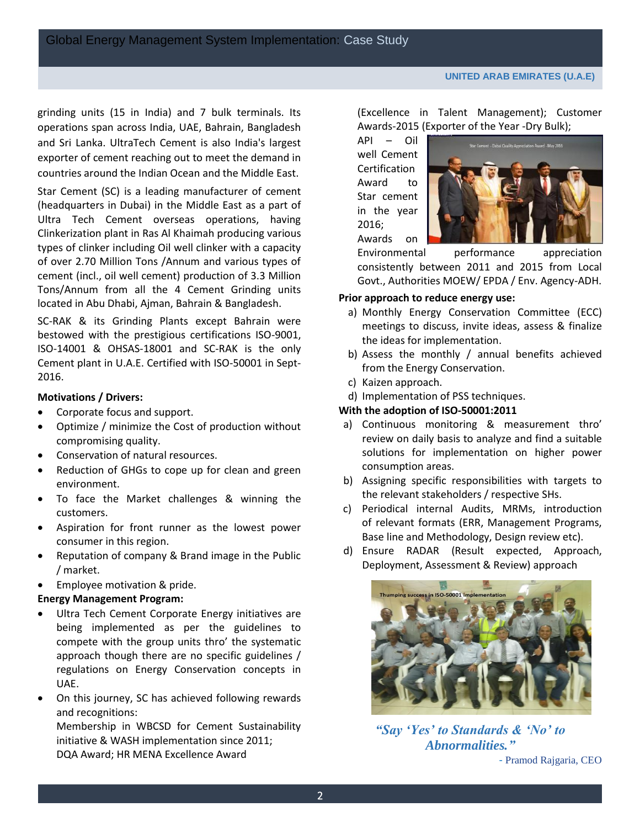grinding units (15 in India) and 7 bulk terminals. Its operations span across India, UAE, Bahrain, Bangladesh and Sri Lanka. UltraTech Cement is also India's largest exporter of cement reaching out to meet the demand in countries around the Indian Ocean and the Middle East.

Star Cement (SC) is a leading manufacturer of cement (headquarters in Dubai) in the Middle East as a part of Ultra Tech Cement overseas operations, having Clinkerization plant in Ras Al Khaimah producing various types of clinker including Oil well clinker with a capacity of over 2.70 Million Tons /Annum and various types of cement (incl., oil well cement) production of 3.3 Million Tons/Annum from all the 4 Cement Grinding units located in Abu Dhabi, Ajman, Bahrain & Bangladesh.

SC-RAK & its Grinding Plants except Bahrain were bestowed with the prestigious certifications ISO-9001, ISO-14001 & OHSAS-18001 and SC-RAK is the only Cement plant in U.A.E. Certified with ISO-50001 in Sept-2016.

## **Motivations / Drivers:**

- Corporate focus and support.
- Optimize / minimize the Cost of production without compromising quality.
- Conservation of natural resources.
- Reduction of GHGs to cope up for clean and green environment.
- To face the Market challenges & winning the customers.
- Aspiration for front runner as the lowest power consumer in this region.
- Reputation of company & Brand image in the Public / market.
- Employee motivation & pride.

## **Energy Management Program:**

- Ultra Tech Cement Corporate Energy initiatives are being implemented as per the guidelines to compete with the group units thro' the systematic approach though there are no specific guidelines / regulations on Energy Conservation concepts in UAE.
- On this journey, SC has achieved following rewards and recognitions:

Membership in WBCSD for Cement Sustainability initiative & WASH implementation since 2011; DQA Award; HR MENA Excellence Award

(Excellence in Talent Management); Customer Awards-2015 (Exporter of the Year -Dry Bulk);

API – Oil well Cement **Certification** Award to Star cement in the year 2016; Awards on



Environmental performance appreciation consistently between 2011 and 2015 from Local Govt., Authorities MOEW/ EPDA / Env. Agency-ADH.

## **Prior approach to reduce energy use:**

- a) Monthly Energy Conservation Committee (ECC) meetings to discuss, invite ideas, assess & finalize the ideas for implementation.
- b) Assess the monthly / annual benefits achieved from the Energy Conservation.
- c) Kaizen approach.
- d) Implementation of PSS techniques.

#### **With the adoption of ISO-50001:2011**

- a) Continuous monitoring & measurement thro' review on daily basis to analyze and find a suitable solutions for implementation on higher power consumption areas.
- b) Assigning specific responsibilities with targets to the relevant stakeholders / respective SHs.
- c) Periodical internal Audits, MRMs, introduction of relevant formats (ERR, Management Programs, Base line and Methodology, Design review etc).
- d) Ensure RADAR (Result expected, Approach, Deployment, Assessment & Review) approach



*"Say 'Yes' to Standards & 'No' to Abnormalities."* - Pramod Rajgaria, CEO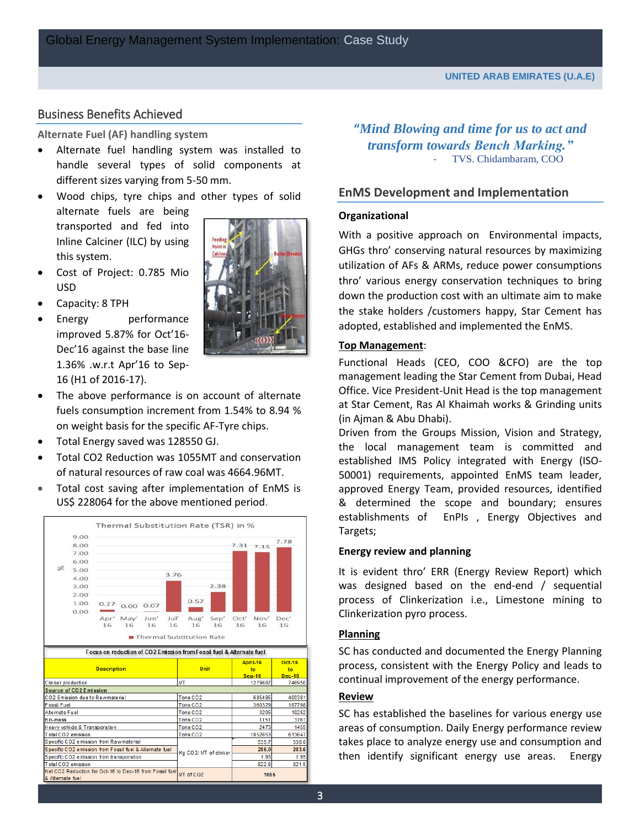#### Business Benefits Achieved

#### **Alternate Fuel (AF) handling system**

- Alternate fuel handling system was installed to handle several types of solid components at different sizes varying from 5-50 mm.
- Wood chips, tyre chips and other types of solid alternate fuels are being transported and fed into Inline Calciner (ILC) by using this system.
- Cost of Project: 0.785 Mio USD
- Capacity: 8 TPH
- Energy performance improved 5.87% for Oct'16- Dec'16 against the base line 1.36% .w.r.t Apr'16 to Sep-16 (H1 of 2016-17).



- The above performance is on account of alternate fuels consumption increment from 1.54% to 8.94 % on weight basis for the specific AF-Tyre chips.
- Total Energy saved was 128550 GJ.
- Total CO2 Reduction was 1055MT and conservation of natural resources of raw coal was 4664.96MT.
- Total cost saving after implementation of EnMS is US\$ 228064 for the above mentioned period.



**"***Mind Blowing and time for us to act and transform towards Bench Marking."* TVS. Chidambaram, COO

#### **EnMS Development and Implementation**

#### **Organizational**

With a positive approach on Environmental impacts, GHGs thro' conserving natural resources by maximizing utilization of AFs & ARMs, reduce power consumptions thro' various energy conservation techniques to bring down the production cost with an ultimate aim to make the stake holders /customers happy, Star Cement has adopted, established and implemented the EnMS.

#### **Top Management**:

Functional Heads (CEO, COO &CFO) are the top management leading the Star Cement from Dubai, Head Office. Vice President-Unit Head is the top management at Star Cement, Ras Al Khaimah works & Grinding units (in Ajman & Abu Dhabi).

Driven from the Groups Mission, Vision and Strategy, the local management team is committed and established IMS Policy integrated with Energy (ISO-50001) requirements, appointed EnMS team leader, approved Energy Team, provided resources, identified & determined the scope and boundary; ensures establishments of EnPIs , Energy Objectives and Targets;

#### **Energy review and planning**

It is evident thro' ERR (Energy Review Report) which was designed based on the end-end / sequential process of Clinkerization i.e., Limestone mining to Clinkerization pyro process.

#### **Planning**

SC has conducted and documented the Energy Planning process, consistent with the Energy Policy and leads to continual improvement of the energy performance.

#### **Review**

SC has established the baselines for various energy use areas of consumption. Daily Energy performance review takes place to analyze energy use and consumption and then identify significant energy use areas. Energy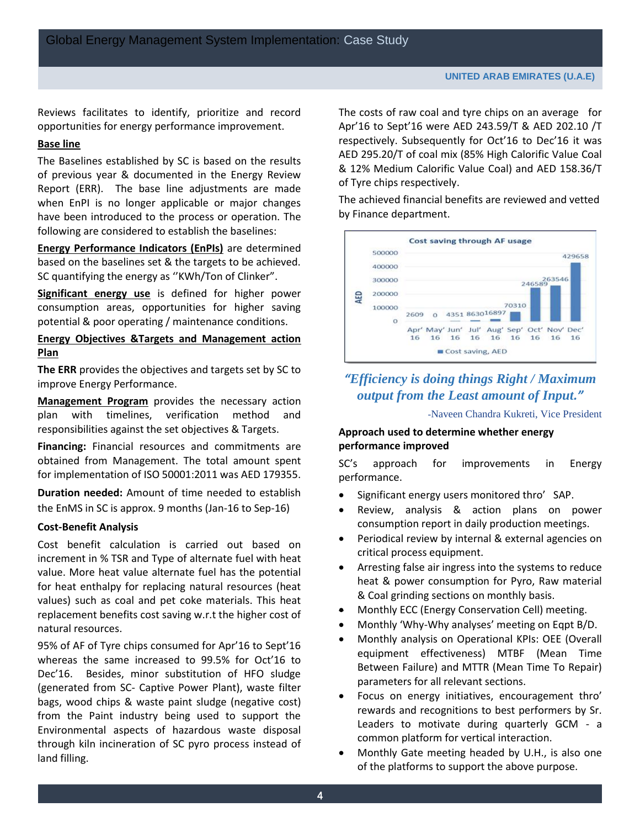Reviews facilitates to identify, prioritize and record opportunities for energy performance improvement.

#### **Base line**

The Baselines established by SC is based on the results of previous year & documented in the Energy Review Report (ERR). The base line adjustments are made when EnPI is no longer applicable or major changes have been introduced to the process or operation. The following are considered to establish the baselines:

**Energy Performance Indicators (EnPIs)** are determined based on the baselines set & the targets to be achieved. SC quantifying the energy as ''KWh/Ton of Clinker".

**Significant energy use** is defined for higher power consumption areas, opportunities for higher saving potential & poor operating / maintenance conditions.

#### **Energy Objectives &Targets and Management action Plan**

**The ERR** provides the objectives and targets set by SC to improve Energy Performance.

**Management Program** provides the necessary action plan with timelines, verification method and responsibilities against the set objectives & Targets.

**Financing:** Financial resources and commitments are obtained from Management. The total amount spent for implementation of ISO 50001:2011 was AED 179355.

**Duration needed:** Amount of time needed to establish the EnMS in SC is approx. 9 months (Jan-16 to Sep-16)

#### **Cost-Benefit Analysis**

Cost benefit calculation is carried out based on increment in % TSR and Type of alternate fuel with heat value. More heat value alternate fuel has the potential for heat enthalpy for replacing natural resources (heat values) such as coal and pet coke materials. This heat replacement benefits cost saving w.r.t the higher cost of natural resources.

95% of AF of Tyre chips consumed for Apr'16 to Sept'16 whereas the same increased to 99.5% for Oct'16 to Dec'16. Besides, minor substitution of HFO sludge (generated from SC- Captive Power Plant), waste filter bags, wood chips & waste paint sludge (negative cost) from the Paint industry being used to support the Environmental aspects of hazardous waste disposal through kiln incineration of SC pyro process instead of land filling.

The costs of raw coal and tyre chips on an average for Apr'16 to Sept'16 were AED 243.59/T & AED 202.10 /T respectively. Subsequently for Oct'16 to Dec'16 it was AED 295.20/T of coal mix (85% High Calorific Value Coal & 12% Medium Calorific Value Coal) and AED 158.36/T of Tyre chips respectively.

The achieved financial benefits are reviewed and vetted by Finance department.



## *"Efficiency is doing things Right / Maximum output from the Least amount of Input."*

-Naveen Chandra Kukreti, Vice President

#### **Approach used to determine whether energy performance improved**

SC's approach for improvements in Energy performance.

- Significant energy users monitored thro' SAP.
- Review, analysis & action plans on power consumption report in daily production meetings.
- Periodical review by internal & external agencies on critical process equipment.
- Arresting false air ingress into the systems to reduce heat & power consumption for Pyro, Raw material & Coal grinding sections on monthly basis.
- **Monthly ECC (Energy Conservation Cell) meeting.**
- Monthly 'Why-Why analyses' meeting on Eqpt B/D.
- Monthly analysis on Operational KPIs: OEE (Overall equipment effectiveness) MTBF (Mean Time Between Failure) and MTTR (Mean Time To Repair) parameters for all relevant sections.
- Focus on energy initiatives, encouragement thro' rewards and recognitions to best performers by Sr. Leaders to motivate during quarterly GCM - a common platform for vertical interaction.
- Monthly Gate meeting headed by U.H., is also one of the platforms to support the above purpose.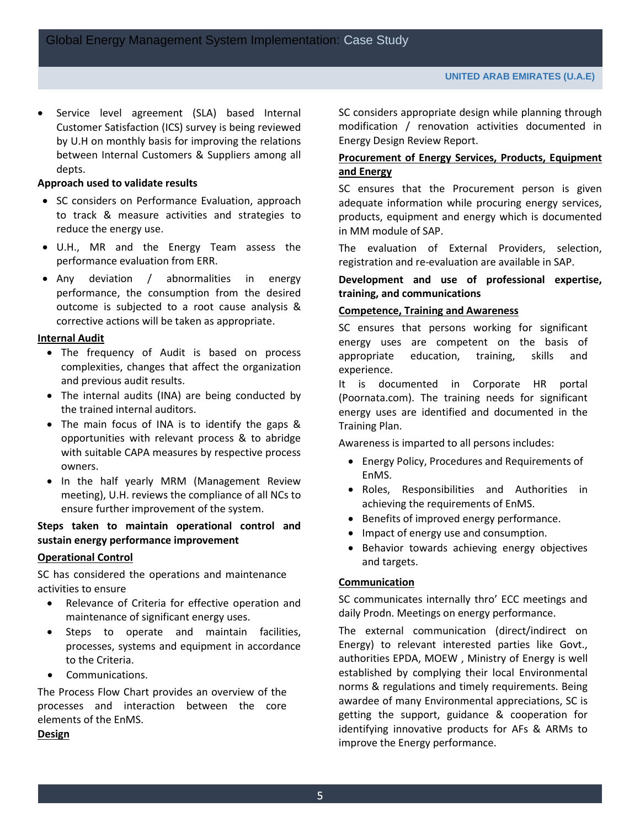Service level agreement (SLA) based Internal Customer Satisfaction (ICS) survey is being reviewed by U.H on monthly basis for improving the relations between Internal Customers & Suppliers among all depts.

#### **Approach used to validate results**

- SC considers on Performance Evaluation, approach to track & measure activities and strategies to reduce the energy use.
- U.H., MR and the Energy Team assess the performance evaluation from ERR.
- Any deviation / abnormalities in energy performance, the consumption from the desired outcome is subjected to a root cause analysis & corrective actions will be taken as appropriate.

#### **Internal Audit**

- The frequency of Audit is based on process complexities, changes that affect the organization and previous audit results.
- The internal audits (INA) are being conducted by the trained internal auditors.
- The main focus of INA is to identify the gaps & opportunities with relevant process & to abridge with suitable CAPA measures by respective process owners.
- In the half yearly MRM (Management Review meeting), U.H. reviews the compliance of all NCs to ensure further improvement of the system.

#### **Steps taken to maintain operational control and sustain energy performance improvement**

#### **Operational Control**

SC has considered the operations and maintenance activities to ensure

- Relevance of Criteria for effective operation and maintenance of significant energy uses.
- Steps to operate and maintain facilities, processes, systems and equipment in accordance to the Criteria.
- Communications.

The Process Flow Chart provides an overview of the processes and interaction between the core elements of the EnMS.

#### **Design**

SC considers appropriate design while planning through modification / renovation activities documented in Energy Design Review Report.

#### **Procurement of Energy Services, Products, Equipment and Energy**

SC ensures that the Procurement person is given adequate information while procuring energy services, products, equipment and energy which is documented in MM module of SAP.

The evaluation of External Providers, selection, registration and re-evaluation are available in SAP.

#### **Development and use of professional expertise, training, and communications**

#### **Competence, Training and Awareness**

SC ensures that persons working for significant energy uses are competent on the basis of appropriate education, training, skills and experience.

It is documented in Corporate HR portal (Poornata.com). The training needs for significant energy uses are identified and documented in the Training Plan.

Awareness is imparted to all persons includes:

- Energy Policy, Procedures and Requirements of EnMS.
- Roles, Responsibilities and Authorities in achieving the requirements of EnMS.
- Benefits of improved energy performance.
- Impact of energy use and consumption.
- Behavior towards achieving energy objectives and targets.

#### **Communication**

SC communicates internally thro' ECC meetings and daily Prodn. Meetings on energy performance.

The external communication (direct/indirect on Energy) to relevant interested parties like Govt., authorities EPDA, MOEW , Ministry of Energy is well established by complying their local Environmental norms & regulations and timely requirements. Being awardee of many Environmental appreciations, SC is getting the support, guidance & cooperation for identifying innovative products for AFs & ARMs to improve the Energy performance.